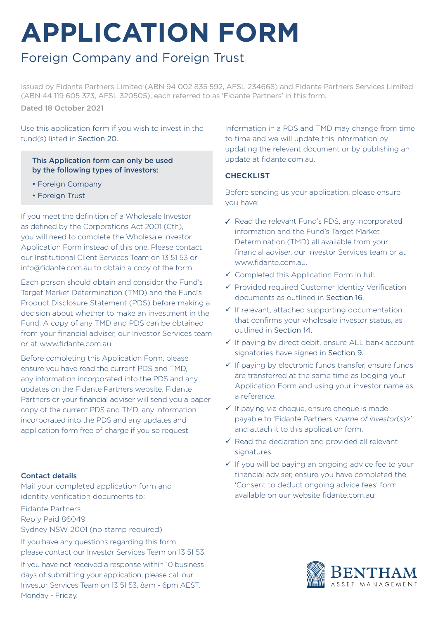# **APPLICATION FORM**

# Foreign Company and Foreign Trust

Issued by Fidante Partners Limited (ABN 94 002 835 592, AFSL 234668) and Fidante Partners Services Limited (ABN 44 119 605 373, AFSL 320505), each referred to as 'Fidante Partners' in this form. Dated 18 October 2021

Use this application form if you wish to invest in the fund(s) listed in Section 20.

### This Application form can only be used by the following types of investors:

- Foreign Company
- Foreign Trust

If you meet the definition of a Wholesale Investor as defined by the Corporations Act 2001 (Cth), you will need to complete the Wholesale Investor Application Form instead of this one. Please contact our Institutional Client Services Team on 13 51 53 or info@fidante.com.au to obtain a copy of the form.

Each person should obtain and consider the Fund's Target Market Determination (TMD) and the Fund's Product Disclosure Statement (PDS) before making a decision about whether to make an investment in the Fund. A copy of any TMD and PDS can be obtained from your financial adviser, our Investor Services team or at www.fidante.com.au.

Before completing this Application Form, please ensure you have read the current PDS and TMD, any information incorporated into the PDS and any updates on the Fidante Partners website. Fidante Partners or your financial adviser will send you a paper copy of the current PDS and TMD, any information incorporated into the PDS and any updates and application form free of charge if you so request.

### Contact details

Mail your completed application form and identity verification documents to:

Fidante Partners Reply Paid 86049

Sydney NSW 2001 (no stamp required)

If you have any questions regarding this form please contact our Investor Services Team on 13 51 53. If you have not received a response within 10 business days of submitting your application, please call our Investor Services Team on 13 51 53, 8am - 6pm AEST, Monday - Friday.

Information in a PDS and TMD may change from time to time and we will update this information by updating the relevant document or by publishing an update at fidante.com.au.

### **CHECKLIST**

Before sending us your application, please ensure you have:

- ✓ Read the relevant Fund's PDS, any incorporated information and the Fund's Target Market Determination (TMD) all available from your financial adviser, our Investor Services team or at www.fidante.com.au.
- $\checkmark$  Completed this Application Form in full.
- $\checkmark$  Provided required Customer Identity Verification documents as outlined in Section 16.
- $\checkmark$  If relevant, attached supporting documentation that confirms your wholesale investor status, as outlined in Section 14.
- $\checkmark$  If paying by direct debit, ensure ALL bank account signatories have signed in Section 9.
- $\checkmark$  If paying by electronic funds transfer, ensure funds are transferred at the same time as lodging your Application Form and using your investor name as a reference.
- $\checkmark$  If paying via cheque, ensure cheque is made payable to 'Fidante Partners <*name of investor*(*s*)>' and attach it to this application form.
- $\checkmark$  Read the declaration and provided all relevant signatures.
- $\checkmark$  If you will be paying an ongoing advice fee to your financial adviser, ensure you have completed the 'Consent to deduct ongoing advice fees' form available on our website fidante.com.au.

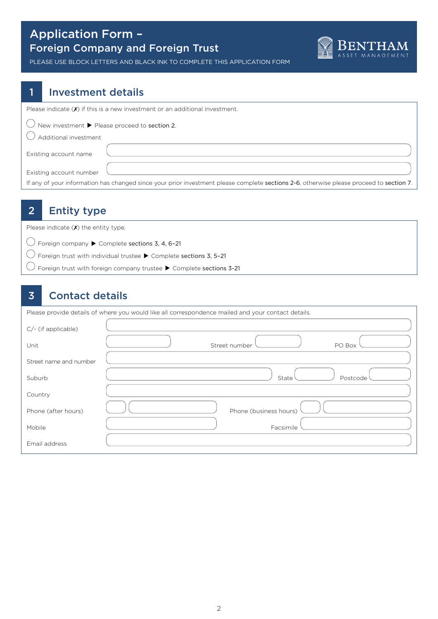### Application Form – Foreign Company and Foreign Trust



PLEASE USE BLOCK LETTERS AND BLACK INK TO COMPLETE THIS APPLICATION FORM

### 1 Investment details

Please indicate  $(X)$  if this is a new investment or an additional investment.

 $\bigcirc$  New investment  $\blacktriangleright$  Please proceed to section 2.

 $\bigcirc$  Additional investment

Existing account name

Existing account number

If any of your information has changed since your prior investment please complete sections 2-6, otherwise please proceed to section 7.

### 2 Entity type

Please indicate  $(X)$  the entity type.

 $\bigcirc$  Foreign company  $\blacktriangleright$  Complete sections 3, 4, 6-21

 $\bigcirc$  Foreign trust with individual trustee  $\blacktriangleright$  Complete sections 3, 5-21

 $\bigcirc$  Foreign trust with foreign company trustee  $\blacktriangleright$  Complete sections 3-21

### 3 Contact details

Please provide details of where you would like all correspondence mailed and your contact details.

| C/- (if applicable)    |                         |
|------------------------|-------------------------|
| Unit                   | Street number<br>PO Box |
| Street name and number |                         |
| Suburb                 | State<br>Postcode       |
| Country                |                         |
| Phone (after hours)    | Phone (business hours)  |
| Mobile                 | Facsimile               |
| Email address          |                         |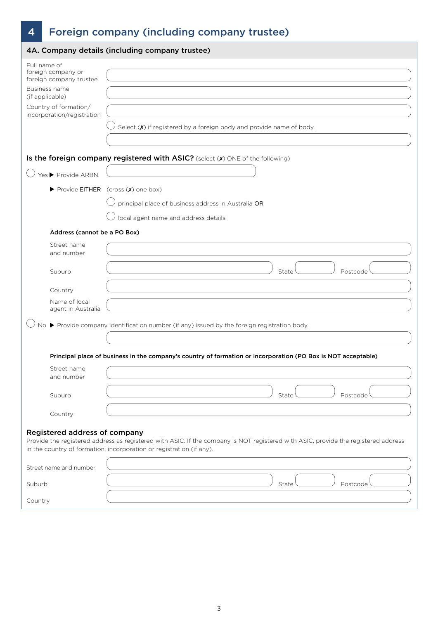# 4 Foreign company (including company trustee)

| 4A. Company details (including company trustee)                                                                                                          |                                                                                                                                                                                                            |  |  |
|----------------------------------------------------------------------------------------------------------------------------------------------------------|------------------------------------------------------------------------------------------------------------------------------------------------------------------------------------------------------------|--|--|
| Full name of<br>foreign company or<br>foreign company trustee<br>Business name<br>(if applicable)<br>Country of formation/<br>incorporation/registration | Select $(X)$ if registered by a foreign body and provide name of body.                                                                                                                                     |  |  |
|                                                                                                                                                          | Is the foreign company registered with ASIC? (select (X) ONE of the following)                                                                                                                             |  |  |
| Yes ▶ Provide ARBN                                                                                                                                       |                                                                                                                                                                                                            |  |  |
|                                                                                                                                                          | Provide EITHER (cross (X) one box)                                                                                                                                                                         |  |  |
|                                                                                                                                                          | principal place of business address in Australia OR                                                                                                                                                        |  |  |
|                                                                                                                                                          | local agent name and address details.                                                                                                                                                                      |  |  |
| Address (cannot be a PO Box)                                                                                                                             |                                                                                                                                                                                                            |  |  |
| Street name<br>and number                                                                                                                                |                                                                                                                                                                                                            |  |  |
| Suburb                                                                                                                                                   | State<br>Postcode                                                                                                                                                                                          |  |  |
| Country                                                                                                                                                  |                                                                                                                                                                                                            |  |  |
| Name of local<br>agent in Australia                                                                                                                      |                                                                                                                                                                                                            |  |  |
|                                                                                                                                                          | No ▶ Provide company identification number (if any) issued by the foreign registration body.                                                                                                               |  |  |
|                                                                                                                                                          |                                                                                                                                                                                                            |  |  |
|                                                                                                                                                          | Principal place of business in the company's country of formation or incorporation (PO Box is NOT acceptable)                                                                                              |  |  |
| Street name<br>and number                                                                                                                                |                                                                                                                                                                                                            |  |  |
| Suburb                                                                                                                                                   | State<br>Postcode                                                                                                                                                                                          |  |  |
| Country                                                                                                                                                  |                                                                                                                                                                                                            |  |  |
| Registered address of company                                                                                                                            | Provide the registered address as registered with ASIC. If the company is NOT registered with ASIC, provide the registered address<br>in the country of formation, incorporation or registration (if any). |  |  |
| Street name and number                                                                                                                                   |                                                                                                                                                                                                            |  |  |
| Suburb                                                                                                                                                   | State<br>Postcode                                                                                                                                                                                          |  |  |
| Country                                                                                                                                                  |                                                                                                                                                                                                            |  |  |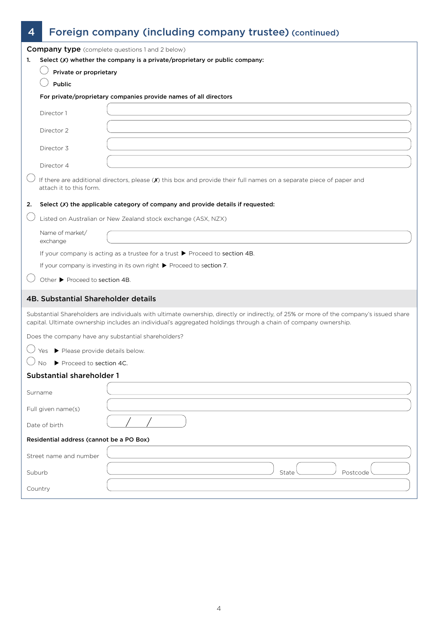# 4 Foreign company (including company trustee) (continued)

|                                                                                  |                                          | <b>Company type</b> (complete questions 1 and 2 below)                                                                                                                                                                                                   |  |
|----------------------------------------------------------------------------------|------------------------------------------|----------------------------------------------------------------------------------------------------------------------------------------------------------------------------------------------------------------------------------------------------------|--|
| Select (x) whether the company is a private/proprietary or public company:<br>1. |                                          |                                                                                                                                                                                                                                                          |  |
|                                                                                  | Private or proprietary                   |                                                                                                                                                                                                                                                          |  |
|                                                                                  | Public                                   |                                                                                                                                                                                                                                                          |  |
|                                                                                  |                                          | For private/proprietary companies provide names of all directors                                                                                                                                                                                         |  |
|                                                                                  | Director 1                               |                                                                                                                                                                                                                                                          |  |
|                                                                                  | Director 2                               |                                                                                                                                                                                                                                                          |  |
|                                                                                  | Director 3                               |                                                                                                                                                                                                                                                          |  |
|                                                                                  | Director 4                               |                                                                                                                                                                                                                                                          |  |
|                                                                                  | attach it to this form.                  | If there are additional directors, please (X) this box and provide their full names on a separate piece of paper and                                                                                                                                     |  |
| 2.                                                                               |                                          | Select (X) the applicable category of company and provide details if requested:                                                                                                                                                                          |  |
|                                                                                  |                                          | Listed on Australian or New Zealand stock exchange (ASX, NZX)                                                                                                                                                                                            |  |
|                                                                                  | Name of market/<br>exchange              |                                                                                                                                                                                                                                                          |  |
|                                                                                  |                                          | If your company is acting as a trustee for a trust $\triangleright$ Proceed to section 4B.                                                                                                                                                               |  |
|                                                                                  |                                          | If your company is investing in its own right > Proceed to section 7.                                                                                                                                                                                    |  |
|                                                                                  | Other ▶ Proceed to section 4B.           |                                                                                                                                                                                                                                                          |  |
|                                                                                  | 4B. Substantial Shareholder details      |                                                                                                                                                                                                                                                          |  |
|                                                                                  |                                          | Substantial Shareholders are individuals with ultimate ownership, directly or indirectly, of 25% or more of the company's issued share<br>capital. Ultimate ownership includes an individual's aggregated holdings through a chain of company ownership. |  |
|                                                                                  |                                          | Does the company have any substantial shareholders?                                                                                                                                                                                                      |  |
|                                                                                  | Please provide details below.            |                                                                                                                                                                                                                                                          |  |
|                                                                                  | Proceed to section 4C.<br>No.            |                                                                                                                                                                                                                                                          |  |
|                                                                                  | <b>Substantial shareholder 1</b>         |                                                                                                                                                                                                                                                          |  |
|                                                                                  | Surname                                  |                                                                                                                                                                                                                                                          |  |
|                                                                                  | Full given name(s)                       |                                                                                                                                                                                                                                                          |  |
|                                                                                  | Date of birth                            |                                                                                                                                                                                                                                                          |  |
|                                                                                  | Residential address (cannot be a PO Box) |                                                                                                                                                                                                                                                          |  |
|                                                                                  | Street name and number                   |                                                                                                                                                                                                                                                          |  |
| Suburb                                                                           |                                          | State<br>Postcode                                                                                                                                                                                                                                        |  |
|                                                                                  | Country                                  |                                                                                                                                                                                                                                                          |  |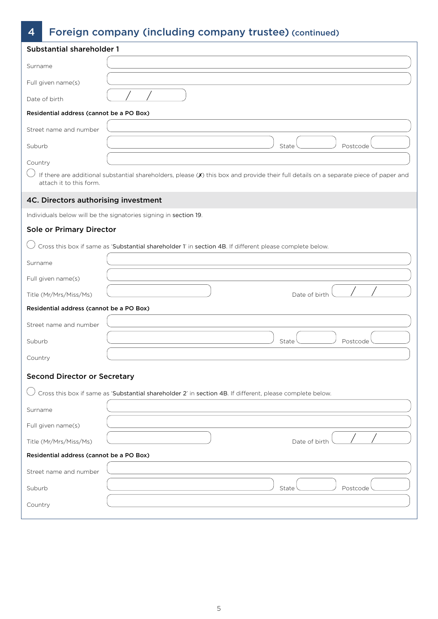# 4 Foreign company (including company trustee) (continued)

| <b>Substantial shareholder 1</b>         |                                                                                                                                       |  |  |
|------------------------------------------|---------------------------------------------------------------------------------------------------------------------------------------|--|--|
| Surname                                  |                                                                                                                                       |  |  |
| Full given name(s)                       |                                                                                                                                       |  |  |
| Date of birth                            |                                                                                                                                       |  |  |
| Residential address (cannot be a PO Box) |                                                                                                                                       |  |  |
| Street name and number                   |                                                                                                                                       |  |  |
| Suburb                                   | State<br>Postcode                                                                                                                     |  |  |
| Country                                  |                                                                                                                                       |  |  |
| attach it to this form.                  | If there are additional substantial shareholders, please (X) this box and provide their full details on a separate piece of paper and |  |  |
| 4C. Directors authorising investment     |                                                                                                                                       |  |  |
|                                          | Individuals below will be the signatories signing in section 19.                                                                      |  |  |
| Sole or Primary Director                 |                                                                                                                                       |  |  |
|                                          | Cross this box if same as 'Substantial shareholder 1' in section 4B. If different please complete below.                              |  |  |
| Surname                                  |                                                                                                                                       |  |  |
| Full given name(s)                       |                                                                                                                                       |  |  |
| Title (Mr/Mrs/Miss/Ms)                   | Date of birth                                                                                                                         |  |  |
| Residential address (cannot be a PO Box) |                                                                                                                                       |  |  |
| Street name and number                   |                                                                                                                                       |  |  |
| Suburb                                   | Postcode<br>State                                                                                                                     |  |  |
| Country                                  |                                                                                                                                       |  |  |
| <b>Second Director or Secretary</b>      |                                                                                                                                       |  |  |
|                                          | Cross this box if same as 'Substantial shareholder 2' in section 4B. If different, please complete below.                             |  |  |
| Surname                                  |                                                                                                                                       |  |  |
| Full given name(s)                       |                                                                                                                                       |  |  |
| Title (Mr/Mrs/Miss/Ms)                   | Date of birth                                                                                                                         |  |  |
| Residential address (cannot be a PO Box) |                                                                                                                                       |  |  |
| Street name and number                   |                                                                                                                                       |  |  |
| Suburb                                   | State<br>Postcode                                                                                                                     |  |  |
| Country                                  |                                                                                                                                       |  |  |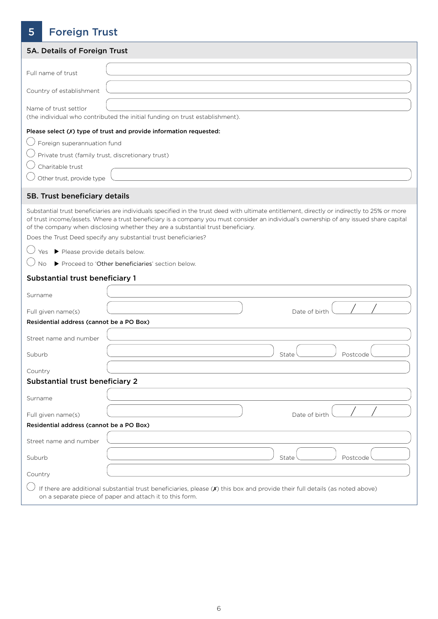# 5 Foreign Trust

| 5A. Details of Foreign Trust                      |                                                                                                                                                                                                                                                                                                                                                                            |  |  |
|---------------------------------------------------|----------------------------------------------------------------------------------------------------------------------------------------------------------------------------------------------------------------------------------------------------------------------------------------------------------------------------------------------------------------------------|--|--|
| Full name of trust                                |                                                                                                                                                                                                                                                                                                                                                                            |  |  |
|                                                   |                                                                                                                                                                                                                                                                                                                                                                            |  |  |
| Country of establishment                          |                                                                                                                                                                                                                                                                                                                                                                            |  |  |
| Name of trust settlor                             | (the individual who contributed the initial funding on trust establishment).                                                                                                                                                                                                                                                                                               |  |  |
|                                                   | Please select (X) type of trust and provide information requested:                                                                                                                                                                                                                                                                                                         |  |  |
| Foreign superannuation fund                       |                                                                                                                                                                                                                                                                                                                                                                            |  |  |
| Private trust (family trust, discretionary trust) |                                                                                                                                                                                                                                                                                                                                                                            |  |  |
| Charitable trust                                  |                                                                                                                                                                                                                                                                                                                                                                            |  |  |
| Other trust, provide type                         |                                                                                                                                                                                                                                                                                                                                                                            |  |  |
| 5B. Trust beneficiary details                     |                                                                                                                                                                                                                                                                                                                                                                            |  |  |
|                                                   | Substantial trust beneficiaries are individuals specified in the trust deed with ultimate entitlement, directly or indirectly to 25% or more<br>of trust income/assets. Where a trust beneficiary is a company you must consider an individual's ownership of any issued share capital<br>of the company when disclosing whether they are a substantial trust beneficiary. |  |  |
|                                                   | Does the Trust Deed specify any substantial trust beneficiaries?                                                                                                                                                                                                                                                                                                           |  |  |
| Yes ▶ Please provide details below.               |                                                                                                                                                                                                                                                                                                                                                                            |  |  |
| <b>No</b>                                         | Proceed to 'Other beneficiaries' section below.                                                                                                                                                                                                                                                                                                                            |  |  |
| Substantial trust beneficiary 1                   |                                                                                                                                                                                                                                                                                                                                                                            |  |  |
| Surname                                           |                                                                                                                                                                                                                                                                                                                                                                            |  |  |
| Full given name(s)                                | Date of birth                                                                                                                                                                                                                                                                                                                                                              |  |  |
| Residential address (cannot be a PO Box)          |                                                                                                                                                                                                                                                                                                                                                                            |  |  |
| Street name and number                            |                                                                                                                                                                                                                                                                                                                                                                            |  |  |
| Suburb                                            | State<br>Postcode                                                                                                                                                                                                                                                                                                                                                          |  |  |
| Country                                           |                                                                                                                                                                                                                                                                                                                                                                            |  |  |
| Substantial trust beneficiary 2                   |                                                                                                                                                                                                                                                                                                                                                                            |  |  |
| Surname                                           |                                                                                                                                                                                                                                                                                                                                                                            |  |  |
| Full given name(s)                                | Date of birth                                                                                                                                                                                                                                                                                                                                                              |  |  |
| Residential address (cannot be a PO Box)          |                                                                                                                                                                                                                                                                                                                                                                            |  |  |
| Street name and number                            |                                                                                                                                                                                                                                                                                                                                                                            |  |  |
| Suburb                                            | State<br>Postcode                                                                                                                                                                                                                                                                                                                                                          |  |  |
| Country                                           |                                                                                                                                                                                                                                                                                                                                                                            |  |  |
|                                                   | If there are additional substantial trust beneficiaries, please (X) this box and provide their full details (as noted above)<br>on a separate piece of paper and attach it to this form.                                                                                                                                                                                   |  |  |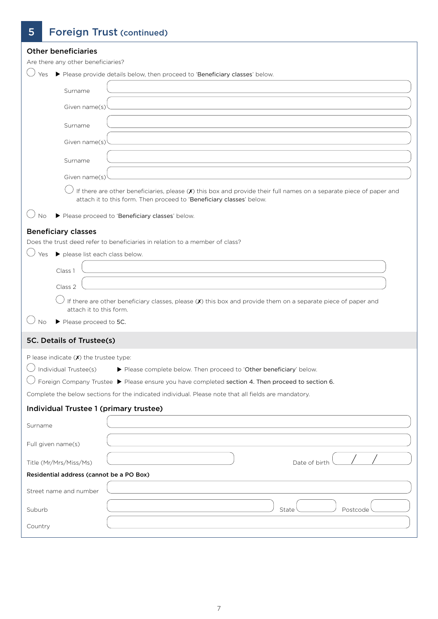# 5 Foreign Trust (continued)

| <b>Other beneficiaries</b>               |                                                                                                                                                                                               |
|------------------------------------------|-----------------------------------------------------------------------------------------------------------------------------------------------------------------------------------------------|
| Are there any other beneficiaries?       |                                                                                                                                                                                               |
| Yes                                      | Please provide details below, then proceed to 'Beneficiary classes' below.                                                                                                                    |
| Surname                                  |                                                                                                                                                                                               |
| Given name(s)                            |                                                                                                                                                                                               |
| Surname                                  |                                                                                                                                                                                               |
| Given name(s)                            |                                                                                                                                                                                               |
| Surname                                  |                                                                                                                                                                                               |
| Given name(s)                            |                                                                                                                                                                                               |
|                                          | If there are other beneficiaries, please $(X)$ this box and provide their full names on a separate piece of paper and<br>attach it to this form. Then proceed to 'Beneficiary classes' below. |
| No                                       | Please proceed to 'Beneficiary classes' below.                                                                                                                                                |
| <b>Beneficiary classes</b>               |                                                                                                                                                                                               |
|                                          | Does the trust deed refer to beneficiaries in relation to a member of class?                                                                                                                  |
| please list each class below.<br>Yes     |                                                                                                                                                                                               |
| Class 1                                  |                                                                                                                                                                                               |
|                                          |                                                                                                                                                                                               |
| Class 2                                  |                                                                                                                                                                                               |
| attach it to this form.                  | If there are other beneficiary classes, please (X) this box and provide them on a separate piece of paper and                                                                                 |
| Please proceed to 5C.<br>Νo              |                                                                                                                                                                                               |
| 5C. Details of Trustee(s)                |                                                                                                                                                                                               |
| P lease indicate $(X)$ the trustee type: |                                                                                                                                                                                               |
| Individual Trustee(s)                    | Please complete below. Then proceed to 'Other beneficiary' below.                                                                                                                             |
|                                          | Foreign Company Trustee ▶ Please ensure you have completed section 4. Then proceed to section 6.                                                                                              |
|                                          | Complete the below sections for the indicated individual. Please note that all fields are mandatory.                                                                                          |
| Individual Trustee 1 (primary trustee)   |                                                                                                                                                                                               |
| Surname                                  |                                                                                                                                                                                               |
| Full given name(s)                       |                                                                                                                                                                                               |
| Title (Mr/Mrs/Miss/Ms)                   | Date of birth                                                                                                                                                                                 |
| Residential address (cannot be a PO Box) |                                                                                                                                                                                               |
| Street name and number                   |                                                                                                                                                                                               |
| Suburb                                   | Postcode<br>State                                                                                                                                                                             |
| Country                                  |                                                                                                                                                                                               |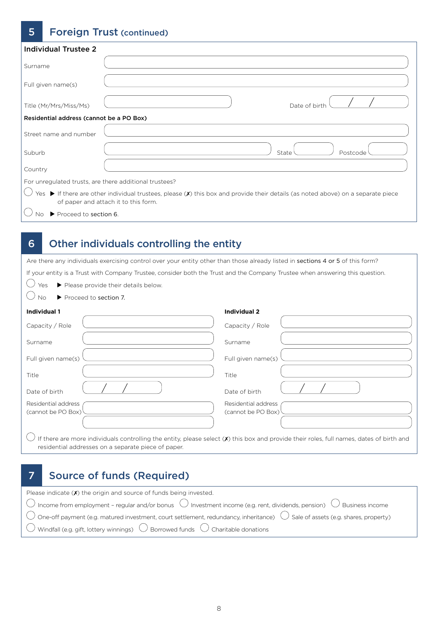### **5** Foreign Trust (continued)

| Individual Trustee 2                                   |                                                                                                                                                                                                     |
|--------------------------------------------------------|-----------------------------------------------------------------------------------------------------------------------------------------------------------------------------------------------------|
| Surname                                                |                                                                                                                                                                                                     |
| Full given name(s)                                     |                                                                                                                                                                                                     |
| Title (Mr/Mrs/Miss/Ms)                                 | Date of birth                                                                                                                                                                                       |
| Residential address (cannot be a PO Box)               |                                                                                                                                                                                                     |
| Street name and number                                 |                                                                                                                                                                                                     |
| Suburb                                                 | State<br>Postcode                                                                                                                                                                                   |
| Country                                                |                                                                                                                                                                                                     |
| For unregulated trusts, are there additional trustees? |                                                                                                                                                                                                     |
|                                                        | Yes $\blacktriangleright$ If there are other individual trustees, please ( $\chi$ ) this box and provide their details (as noted above) on a separate piece<br>of paper and attach it to this form. |
| Proceed to section 6.                                  |                                                                                                                                                                                                     |

### 6 Other individuals controlling the entity

Are there any individuals exercising control over your entity other than those already listed in sections 4 or 5 of this form?

If your entity is a Trust with Company Trustee, consider both the Trust and the Company Trustee when answering this question.

- $\bigcirc$  Yes  $\triangleright$  Please provide their details below.
- $\bigcirc$  No  $\triangleright$  Proceed to section 7.

### **Individual 1**

| Individual 1                                                                                                                                    | <b>Individual 2</b>                       |
|-------------------------------------------------------------------------------------------------------------------------------------------------|-------------------------------------------|
| Capacity / Role                                                                                                                                 | Capacity / Role                           |
| Surname                                                                                                                                         | Surname                                   |
| Full given name(s)                                                                                                                              | Full given name(s)                        |
| Title                                                                                                                                           | Title                                     |
| Date of birth                                                                                                                                   | Date of birth                             |
| Residential address<br>(cannot be PO Box)                                                                                                       | Residential address<br>(cannot be PO Box) |
| If there are more individuals controlling the entity, please select ( $\chi$ ) this box and provide their roles, full names, dates of birth and |                                           |

residential addresses on a separate piece of paper.

### 7 Source of funds (Required)

| Please indicate $(X)$ the origin and source of funds being invested.                                                                                                              |
|-----------------------------------------------------------------------------------------------------------------------------------------------------------------------------------|
| $\overline{\bigcirc}$ Income from employment - regular and/or bonus $\overline{\bigcirc}$ Investment income (e.g. rent, dividends, pension) $\overline{\bigcirc}$ Business income |
| $\bigcirc$ One-off payment (e.g. matured investment, court settlement, redundancy, inheritance) $\bigcirc$ Sale of assets (e.g. shares, property)                                 |
| $\overline{\bigcirc}$ Windfall (e.g. gift, lottery winnings) $\overline{\bigcirc}$ Borrowed funds $\overline{\bigcirc}$ Charitable donations                                      |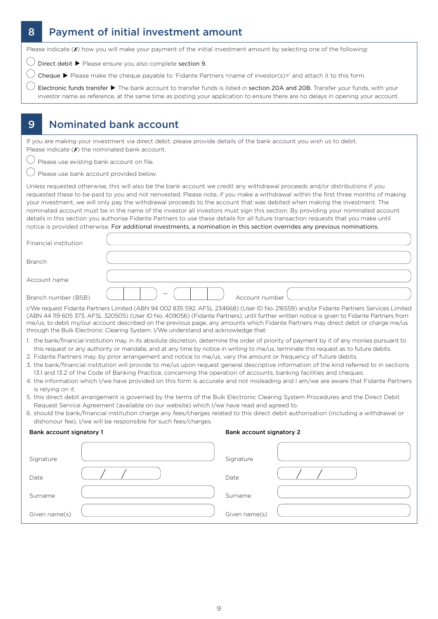# 8 **Payment of initial investment amount**

Please indicate (X) how you will make your payment of the initial investment amount by selecting one of the following:

 $\bigcirc$  Direct debit  $\blacktriangleright$  Please ensure you also complete section 9.

 $\bigcirc$  Cheque  $\blacktriangleright$  Please make the cheque payable to 'Fidante Partners <name of investor(s)>' and attach it to this form.

Electronic funds transfer  $\blacktriangleright$  The bank account to transfer funds is listed in section 20A and 20B. Transfer your funds, with your investor name as reference, at the same time as posting your application to ensure there are no delays in opening your account.

### 9 Nominated bank account

If you are making your investment via direct debit, please provide details of the bank account you wish us to debit. Please indicate  $(X)$  the nominated bank account.

 $\bigcup$  Please use existing bank account on file.

 $\overline{\mathcal{C}}$  Please use bank account provided below.

Unless requested otherwise, this will also be the bank account we credit any withdrawal proceeds and/or distributions if you requested these to be paid to you and not reinvested. Please note, if you make a withdrawal within the first three months of making your investment, we will only pay the withdrawal proceeds to the account that was debited when making the investment. The nominated account must be in the name of the investor all investors must sign this section. By providing your nominated account details in this section you authorise Fidante Partners to use these details for all future transaction requests that you make until notice is provided otherwise. For additional investments, a nomination in this section overrides any previous nominations.

| Financial institution |                                                                                                       |
|-----------------------|-------------------------------------------------------------------------------------------------------|
| <b>Branch</b>         |                                                                                                       |
| Account name          |                                                                                                       |
| Branch number (BSB)   | Account number                                                                                        |
|                       | TAME CONTROL OF BUILDING TAX RIGA COO CZE FOO AFCLOZACCOMAL CIRIN CACEFON CHA EN JILRO LI LOCALITANIA |

I/We request Fidante Partners Limited (ABN 94 002 835 592, AFSL 234668) (User ID No. 216559) and/or Fidante Partners Services Limited (ABN 44 119 605 373, AFSL 320505) (User ID No. 409056) (Fidante Partners), until further written notice is given to Fidante Partners from me/us, to debit my/our account described on the previous page, any amounts which Fidante Partners may direct debit or charge me/us through the Bulk Electronic Clearing System. I/We understand and acknowledge that:

- 1. the bank/financial institution may, in its absolute discretion, determine the order of priority of payment by it of any monies pursuant to this request or any authority or mandate, and at any time by notice in writing to me/us, terminate this request as to future debits.
- 2. Fidante Partners may, by prior arrangement and notice to me/us, vary the amount or frequency of future debits.
- 3. the bank/financial institution will provide to me/us upon request general descriptive information of the kind referred to in sections 13.1 and 13.2 of the Code of Banking Practice, concerning the operation of accounts, banking facilities and cheques.
- 4. the information which I/we have provided on this form is accurate and not misleading and I am/we are aware that Fidante Partners is relying on it.
- 5. this direct debit arrangement is governed by the terms of the Bulk Electronic Clearing System Procedures and the Direct Debit Request Service Agreement (available on our website) which I/we have read and agreed to.
- 6. should the bank/financial institution charge any fees/charges related to this direct debit authorisation (including a withdrawal or dishonour fee), I/we will be responsible for such fees/charges.

#### Bank account signatory 1

| Bank account signatory 2 |  |
|--------------------------|--|
|--------------------------|--|

| Signature     | Signature     |  |
|---------------|---------------|--|
| Date          | Date          |  |
| Surname       | Surname       |  |
| Given name(s) | Given name(s) |  |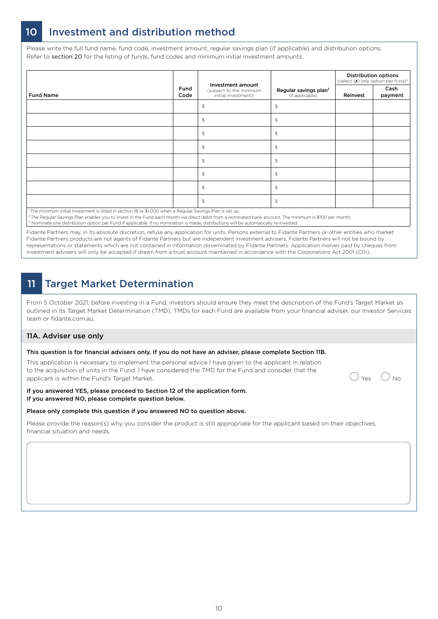### 10 Investment and distribution method

Please write the full fund name, fund code, investment amount, regular savings plan (if applicable) and distribution options. Refer to section 20 for the listing of funds, fund codes and minimum initial investment amounts.

|                                                                                                          |              |                                                                                  |                                                      |          | <b>Distribution options</b><br>(select $(X)$ one option per fund) <sup>3</sup> |
|----------------------------------------------------------------------------------------------------------|--------------|----------------------------------------------------------------------------------|------------------------------------------------------|----------|--------------------------------------------------------------------------------|
| <b>Fund Name</b>                                                                                         | Fund<br>Code | Investment amount<br>(subject to the minimum<br>initial investment) <sup>1</sup> | Regular savings plan <sup>2</sup><br>(if applicable) | Reinvest | Cash<br>payment                                                                |
|                                                                                                          |              | $\, \mathfrak{P} \,$                                                             | $\mathfrak{P}$                                       |          |                                                                                |
|                                                                                                          |              | $\mathfrak{P}$                                                                   | $\mathfrak{P}$                                       |          |                                                                                |
|                                                                                                          |              | $\mathfrak{P}$                                                                   | $\mathfrak{P}$                                       |          |                                                                                |
|                                                                                                          |              | $\, \, \raisebox{-1.5pt}{\text{\circle*{1.5}}}\,$                                | $\mathfrak{P}$                                       |          |                                                                                |
|                                                                                                          |              | $\, \, \raisebox{-1.5pt}{\text{\circle*{1.5}}}\,$                                | $\mathfrak{P}$                                       |          |                                                                                |
|                                                                                                          |              | $\updownarrow$                                                                   | $\mathfrak{P}$                                       |          |                                                                                |
|                                                                                                          |              | $\mathfrak{P}$                                                                   | $\mathfrak{P}$                                       |          |                                                                                |
|                                                                                                          |              | $\mathfrak{P}$                                                                   | $\mathfrak{P}$                                       |          |                                                                                |
| The minimum initial investment is listed in section 18 or \$1.000 when a Regular Savings Plan is set up. |              |                                                                                  |                                                      |          |                                                                                |

1 The minimum initial investment is listed in section 18 or \$1,000 when a Regular Savings Plan is set up. <sup>2</sup> The Regular Savings Plan enables you to invest in the Fund each month via direct debit from a nominated bank account. The minimum is \$100 per month

<sup>3</sup> Nominate one distribution option per Fund if applicable. If no nomination is made, distributions will be automatically re-invested

Fidante Partners may, in its absolute discretion, refuse any application for units. Persons external to Fidante Partners or other entities who market Fidante Partners products are not agents of Fidante Partners but are independent investment advisers. Fidante Partners will not be bound by representations or statements which are not contained in information disseminated by Fidante Partners. Application monies paid by cheques from investment advisers will only be accepted if drawn from a trust account maintained in accordance with the Corporations Act 2001 (Cth).

# 11 Target Market Determination

From 5 October 2021, before investing in a Fund, investors should ensure they meet the description of the Fund's Target Market as outlined in its Target Market Determination (TMD). TMDs for each Fund are available from your financial adviser, our Investor Services team or fidante.com.au.

#### 11A. Adviser use only

#### This question is for financial advisers only. If you do not have an adviser, please complete Section 11B.

This application is necessary to implement the personal advice I have given to the applicant in relation to the acquisition of units in the Fund. I have considered the TMD for the Fund and consider that the applicant is within the Fund's Target Market.<br>applicant is within the Fund's Target Market.

#### If you answered YES, please proceed to Section 12 of the application form. If you answered NO, please complete question below.

#### Please only complete this question if you answered NO to question above.

Please provide the reason(s) why you consider the product is still appropriate for the applicant based on their objectives, financial situation and needs.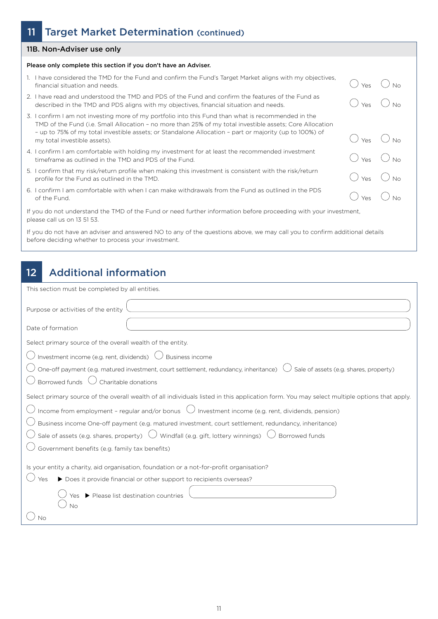### 11 Target Market Determination (continued)

#### 11B. Non-Adviser use only

#### Please only complete this section if you don't have an Adviser.

- 1. I have considered the TMD for the Fund and confirm the Fund's Target Market aligns with my objectives, Financial situation and needs.  $\bigcirc$  No No.  $\bigcirc$  and and committed randomary calged named angles matrixly objectives,  $\bigcirc$  Yes  $\bigcirc$  No.
- 2. I have read and understood the TMD and PDS of the Fund and confirm the features of the Fund as I have read and understood the TMD and PDS of the Fund and confirm the features of the Fund as<br>described in the TMD and PDS aligns with my objectives, financial situation and needs.  $\bigcirc$   $\bigcirc$   $\bigcirc$   $\bigcirc$   $\bigcirc$   $\bigcirc$   $\big$
- 3. I confirm I am not investing more of my portfolio into this Fund than what is recommended in the TMD of the Fund (i.e. Small Allocation – no more than 25% of my total investible assets; Core Allocation – up to 75% of my total investible assets; or Standalone Allocation – part or majority (up to 100%) of  $\sim$  up to 73% of my total investible assets, or standalone Allocation – part or majority (up to 100%) or  $\sim$   $\sim$   $\sim$   $\sim$   $\sim$   $\sim$  No
- 4. I confirm I am comfortable with holding my investment for at least the recommended investment I confirm I am comfortable with holding my investment for at least the recommended investment  $\bigcirc$  Yes  $\bigcirc$  No
- 5. I confirm that my risk/return profile when making this investment is consistent with the risk/return I confirm that my risk/return profile when making this investment is consistent with the risk/return  $\bigcirc$  Yes  $\bigcirc$  No No
- 6. I confirm I am comfortable with when I can make withdrawals from the Fund as outlined in the PDS I confirm I am comfortable with when I can make withdrawals from the Fund as outlined in the PDS of the Fund.  $\bigcirc$  yes  $\bigcirc$  No

If you do not understand the TMD of the Fund or need further information before proceeding with your investment, please call us on 13 51 53.

If you do not have an adviser and answered NO to any of the questions above, we may call you to confirm additional details before deciding whether to process your investment.

### 12 Additional information

| This section must be completed by all entities.                                                                                             |
|---------------------------------------------------------------------------------------------------------------------------------------------|
| Purpose or activities of the entity                                                                                                         |
| Date of formation                                                                                                                           |
| Select primary source of the overall wealth of the entity.                                                                                  |
| Investment income (e.g. rent, dividends)<br><b>Business income</b>                                                                          |
| Sale of assets (e.g. shares, property)<br>One-off payment (e.g. matured investment, court settlement, redundancy, inheritance)              |
| Borrowed funds $\bigcup$<br>Charitable donations                                                                                            |
| Select primary source of the overall wealth of all individuals listed in this application form. You may select multiple options that apply. |
| Income from employment - regular and/or bonus $\bigcup$ Investment income (e.g. rent, dividends, pension)                                   |
| Business income One-off payment (e.g. matured investment, court settlement, redundancy, inheritance)                                        |
| Sale of assets (e.g. shares, property) $\bigcup$ Windfall (e.g. gift, lottery winnings) $\bigcup$<br>J Borrowed funds                       |
| Government benefits (e.g. family tax benefits)                                                                                              |
| Is your entity a charity, aid organisation, foundation or a not-for-profit organisation?                                                    |
| Yes                                                                                                                                         |
| ▶ Does it provide financial or other support to recipients overseas?                                                                        |
| Please list destination countries                                                                                                           |
| No                                                                                                                                          |
| Nο                                                                                                                                          |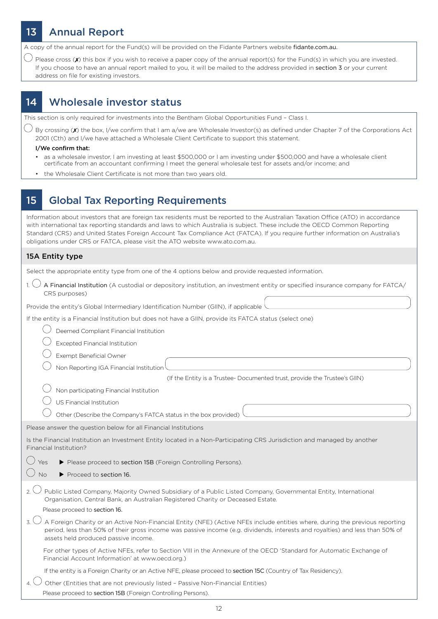# 13 Annual Report

A copy of the annual report for the Fund(s) will be provided on the Fidante Partners website fidante.com.au.

 $\bigcirc$  Please cross (x) this box if you wish to receive a paper copy of the annual report(s) for the Fund(s) in which you are invested. If you choose to have an annual report mailed to you, it will be mailed to the address provided in section 3 or your current address on file for existing investors.

### 14 Wholesale investor status

This section is only required for investments into the Bentham Global Opportunities Fund – Class I.

By crossing ( $\bm{x}$ ) the box, I/we confirm that I am a/we are Wholesale Investor(s) as defined under Chapter 7 of the Corporations Act 2001 (Cth) and I/we have attached a Wholesale Client Certificate to support this statement.

#### I/We confirm that:

- as a wholesale investor, I am investing at least \$500,000 or I am investing under \$500,000 and have a wholesale client certificate from an accountant confirming I meet the general wholesale test for assets and/or income; and
- the Wholesale Client Certificate is not more than two years old.

### 15 Global Tax Reporting Requirements

| Information about investors that are foreign tax residents must be reported to the Australian Taxation Office (ATO) in accordance<br>with international tax reporting standards and laws to which Australia is subject. These include the OECD Common Reporting<br>Standard (CRS) and United States Foreign Account Tax Compliance Act (FATCA). If you require further information on Australia's<br>obligations under CRS or FATCA, please visit the ATO website www.ato.com.au. |  |
|-----------------------------------------------------------------------------------------------------------------------------------------------------------------------------------------------------------------------------------------------------------------------------------------------------------------------------------------------------------------------------------------------------------------------------------------------------------------------------------|--|
| 15A Entity type                                                                                                                                                                                                                                                                                                                                                                                                                                                                   |  |
| Select the appropriate entity type from one of the 4 options below and provide requested information.                                                                                                                                                                                                                                                                                                                                                                             |  |
| A Financial Institution (A custodial or depository institution, an investment entity or specified insurance company for FATCA/<br>CRS purposes)                                                                                                                                                                                                                                                                                                                                   |  |
| Provide the entity's Global Intermediary Identification Number (GIIN), if applicable                                                                                                                                                                                                                                                                                                                                                                                              |  |
| If the entity is a Financial Institution but does not have a GIIN, provide its FATCA status (select one)                                                                                                                                                                                                                                                                                                                                                                          |  |
| Deemed Compliant Financial Institution                                                                                                                                                                                                                                                                                                                                                                                                                                            |  |
| <b>Excepted Financial Institution</b>                                                                                                                                                                                                                                                                                                                                                                                                                                             |  |
| Exempt Beneficial Owner                                                                                                                                                                                                                                                                                                                                                                                                                                                           |  |
| Non Reporting IGA Financial Institution                                                                                                                                                                                                                                                                                                                                                                                                                                           |  |
| (If the Entity is a Trustee- Documented trust, provide the Trustee's GIIN)                                                                                                                                                                                                                                                                                                                                                                                                        |  |
| Non participating Financial Institution                                                                                                                                                                                                                                                                                                                                                                                                                                           |  |
| US Financial Institution                                                                                                                                                                                                                                                                                                                                                                                                                                                          |  |
| Other (Describe the Company's FATCA status in the box provided)                                                                                                                                                                                                                                                                                                                                                                                                                   |  |
| Please answer the question below for all Financial Institutions                                                                                                                                                                                                                                                                                                                                                                                                                   |  |
| Is the Financial Institution an Investment Entity located in a Non-Participating CRS Jurisdiction and managed by another<br>Financial Institution?                                                                                                                                                                                                                                                                                                                                |  |
| Yes<br>Please proceed to section 15B (Foreign Controlling Persons).                                                                                                                                                                                                                                                                                                                                                                                                               |  |
| No<br>▶ Proceed to section 16.                                                                                                                                                                                                                                                                                                                                                                                                                                                    |  |
| Public Listed Company, Majority Owned Subsidiary of a Public Listed Company, Governmental Entity, International<br>2 <sub>2</sub><br>Organisation, Central Bank, an Australian Registered Charity or Deceased Estate.<br>Please proceed to section 16.                                                                                                                                                                                                                            |  |
| A Foreign Charity or an Active Non-Financial Entity (NFE) (Active NFEs include entities where, during the previous reporting<br>period, less than 50% of their gross income was passive income (e.g. dividends, interests and royalties) and less than 50% of<br>assets held produced passive income.                                                                                                                                                                             |  |
| For other types of Active NFEs, refer to Section VIII in the Annexure of the OECD 'Standard for Automatic Exchange of<br>Financial Account Information' at www.oecd.org.)                                                                                                                                                                                                                                                                                                         |  |
| If the entity is a Foreign Charity or an Active NFE, please proceed to section 15C (Country of Tax Residency).                                                                                                                                                                                                                                                                                                                                                                    |  |
| 4.<br>Other (Entities that are not previously listed - Passive Non-Financial Entities)<br>Please proceed to section 15B (Foreign Controlling Persons).                                                                                                                                                                                                                                                                                                                            |  |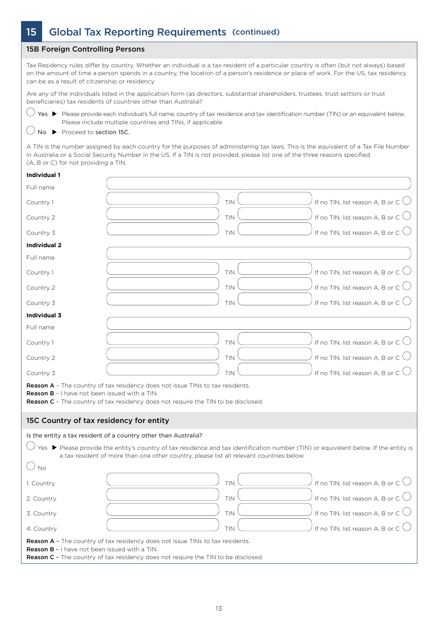### 15 Global Tax Reporting Requirements (continued)

#### 15B Foreign Controlling Persons

Tax Residency rules differ by country. Whether an individual is a tax resident of a particular country is often (but not always) based on the amount of time a person spends in a country, the location of a person's residence or place of work. For the US, tax residency can be as a result of citizenship or residency.

Are any of the individuals listed in the application form (as directors, substantial shareholders, trustees, trust settlors or trust beneficiaries) tax residents of countries other than Australia?

 $\bigcirc$  Yes  $\blacktriangleright$  Please provide each individual's full name, country of tax residence and tax identification number (TIN) or an equivalent below. Please include multiple countries and TINs, if applicable.

 $\bigcirc$  No  $\triangleright$  Proceed to section 15C.

A TIN is the number assigned by each country for the purposes of administering tax laws. This is the equivalent of a Tax File Number in Australia or a Social Security Number in the US. If a TIN is not provided, please list one of the three reasons specified (A, B or C) for not providing a TIN.

#### **Individual 1**

| Full name                                            |                                                                                                                                                                                                                                  |                                             |
|------------------------------------------------------|----------------------------------------------------------------------------------------------------------------------------------------------------------------------------------------------------------------------------------|---------------------------------------------|
| Country 1                                            | <b>TIN</b>                                                                                                                                                                                                                       | If no TIN, list reason A, B or C $\bigcirc$ |
| Country 2                                            | <b>TIN</b>                                                                                                                                                                                                                       | If no TIN, list reason A, B or C $\bigcirc$ |
| Country 3                                            | TIN                                                                                                                                                                                                                              | If no TIN, list reason A, B or C $\bigcirc$ |
| <b>Individual 2</b>                                  |                                                                                                                                                                                                                                  |                                             |
| Full name                                            |                                                                                                                                                                                                                                  |                                             |
| Country 1                                            | <b>TIN</b>                                                                                                                                                                                                                       | If no TIN, list reason A, B or C $\bigcup$  |
| Country 2                                            | <b>TIN</b>                                                                                                                                                                                                                       | If no TIN, list reason A, B or C $\bigcirc$ |
| Country 3                                            | <b>TIN</b>                                                                                                                                                                                                                       | If no TIN, list reason A, B or C $\bigcirc$ |
| Individual 3                                         |                                                                                                                                                                                                                                  |                                             |
| Full name                                            |                                                                                                                                                                                                                                  |                                             |
| Country 1                                            | <b>TIN</b>                                                                                                                                                                                                                       | If no TIN, list reason A, B or C $\bigcirc$ |
| Country 2                                            | <b>TIN</b>                                                                                                                                                                                                                       | If no TIN, list reason A, B or C $\bigcirc$ |
| Country 3                                            | TIN                                                                                                                                                                                                                              | If no TIN, list reason A, B or C $\bigcup$  |
| <b>Reason B</b> - I have not been issued with a TIN. | <b>Reason A</b> - The country of tax residency does not issue TINs to tax residents.<br><b>Reason C</b> - The country of tax residency does not require the TIN to be disclosed.                                                 |                                             |
| 15C Country of tax residency for entity              |                                                                                                                                                                                                                                  |                                             |
|                                                      | Is the entity a tax resident of a country other than Australia?                                                                                                                                                                  |                                             |
|                                                      | Yes ▶ Please provide the entity's country of tax residence and tax identification number (TIN) or equivalent below. If the entity is<br>a tax resident of more than one other country, please list all relevant countries below. |                                             |
| $\bigcirc$ No                                        |                                                                                                                                                                                                                                  |                                             |
| 1. Country                                           | TIN                                                                                                                                                                                                                              | If no TIN, list reason A, B or C $\bigcirc$ |
| 2. Country                                           | <b>TIN</b>                                                                                                                                                                                                                       | If no TIN, list reason A, B or C $\bigcirc$ |
| 3. Country                                           | <b>TIN</b>                                                                                                                                                                                                                       | If no TIN, list reason A, B or C $\bigcirc$ |
| 4. Country                                           | <b>TIN</b>                                                                                                                                                                                                                       | If no TIN, list reason A, B or C $\bigcirc$ |
| Reason B - I have not been issued with a TIN.        | Reason A - The country of tax residency does not issue TINs to tax residents.<br><b>Reason C</b> - The country of tax residency does not require the TIN to be disclosed.                                                        |                                             |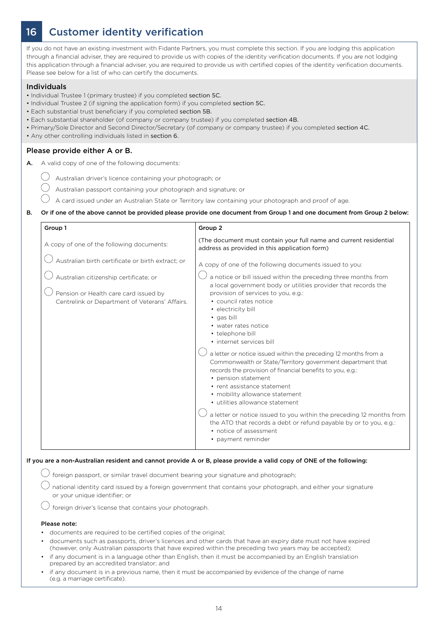# 16 Customer identity verification

If you do not have an existing investment with Fidante Partners, you must complete this section. If you are lodging this application through a financial adviser, they are required to provide us with copies of the identity verification documents. If you are not lodging this application through a financial adviser, you are required to provide us with certified copies of the identity verification documents. Please see below for a list of who can certify the documents.

#### Individuals

- Individual Trustee 1 (primary trustee) if you completed section 5C.
- Individual Trustee 2 (if signing the application form) if you completed section 5C.
- Each substantial trust beneficiary if you completed section 5B.
- Each substantial shareholder (of company or company trustee) if you completed section 4B.
- Primary/Sole Director and Second Director/Secretary (of company or company trustee) if you completed section 4C.
- Any other controlling individuals listed in section 6.

#### Please provide either A or B.

- A. A valid copy of one of the following documents:
	- $\bigcirc$  Australian driver's licence containing your photograph; or
		- Australian passport containing your photograph and signature; or
		- A card issued under an Australian State or Territory law containing your photograph and proof of age.

#### B. Or if one of the above cannot be provided please provide one document from Group 1 and one document from Group 2 below:

| Group 1                                                                                                                           | Group 2                                                                                                                                                                                                                                                                                                                                                                                                                                                                                                            |
|-----------------------------------------------------------------------------------------------------------------------------------|--------------------------------------------------------------------------------------------------------------------------------------------------------------------------------------------------------------------------------------------------------------------------------------------------------------------------------------------------------------------------------------------------------------------------------------------------------------------------------------------------------------------|
| A copy of one of the following documents:                                                                                         | (The document must contain your full name and current residential<br>address as provided in this application form)                                                                                                                                                                                                                                                                                                                                                                                                 |
| Australian birth certificate or birth extract; or                                                                                 | A copy of one of the following documents issued to you:                                                                                                                                                                                                                                                                                                                                                                                                                                                            |
| Australian citizenship certificate; or<br>Pension or Health care card issued by<br>Centrelink or Department of Veterans' Affairs. | a notice or bill issued within the preceding three months from<br>a local government body or utilities provider that records the<br>provision of services to you, e.g.:<br>• council rates notice<br>• electricity bill<br>• gas bill<br>• water rates notice<br>• telephone bill<br>· internet services bill                                                                                                                                                                                                      |
|                                                                                                                                   | a letter or notice issued within the preceding 12 months from a<br>Commonwealth or State/Territory government department that<br>records the provision of financial benefits to you, e.g.:<br>• pension statement<br>• rent assistance statement<br>• mobility allowance statement<br>• utilities allowance statement<br>a letter or notice issued to you within the preceding 12 months from<br>the ATO that records a debt or refund payable by or to you, e.g.:<br>• notice of assessment<br>• payment reminder |

#### If you are a non-Australian resident and cannot provide A or B, please provide a valid copy of ONE of the following:

 $\bigcirc$  foreign passport, or similar travel document bearing your signature and photograph;

national identity card issued by a foreign government that contains your photograph, and either your signature or your unique identifier; or

 $\bigcup$  foreign driver's license that contains your photograph.

#### Please note:

- documents are required to be certified copies of the original;
- documents such as passports, driver's licences and other cards that have an expiry date must not have expired (however, only Australian passports that have expired within the preceding two years may be accepted);
- if any document is in a language other than English, then it must be accompanied by an English translation prepared by an accredited translator; and
- if any document is in a previous name, then it must be accompanied by evidence of the change of name (e.g. a marriage certificate).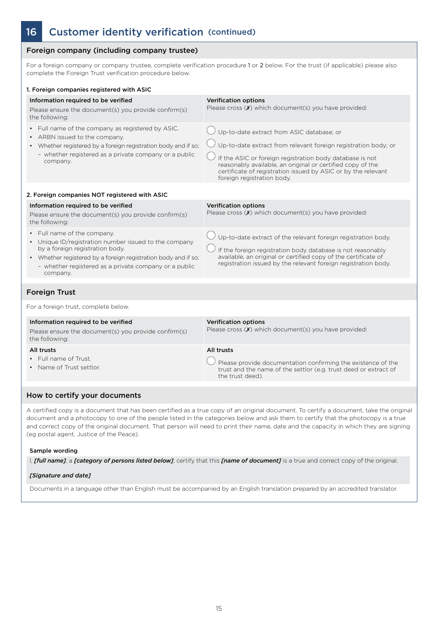### 16 Customer identity verification (continued)

### Foreign company (including company trustee)

For a foreign company or company trustee, complete verification procedure 1 or 2 below. For the trust (if applicable) please also complete the Foreign Trust verification procedure below.

| 1. Foreign companies registered with ASIC                                                                                                                                                                                                                      |                                                                                                                                                                                                                                                                                                                                      |
|----------------------------------------------------------------------------------------------------------------------------------------------------------------------------------------------------------------------------------------------------------------|--------------------------------------------------------------------------------------------------------------------------------------------------------------------------------------------------------------------------------------------------------------------------------------------------------------------------------------|
| Information required to be verified<br>Please ensure the document(s) you provide confirm(s)<br>the following:                                                                                                                                                  | <b>Verification options</b><br>Please cross $(X)$ which document(s) you have provided:                                                                                                                                                                                                                                               |
| • Full name of the company as registered by ASIC.<br>• ARBN issued to the company.<br>• Whether registered by a foreign registration body and if so;<br>- whether registered as a private company or a public<br>company.                                      | Up-to-date extract from ASIC database; or<br>Up-to-date extract from relevant foreign registration body; or<br>If the ASIC or foreign registration body database is not<br>reasonably available, an original or certified copy of the<br>certificate of registration issued by ASIC or by the relevant<br>foreign registration body. |
| 2. Foreign companies NOT registered with ASIC                                                                                                                                                                                                                  |                                                                                                                                                                                                                                                                                                                                      |
| Information required to be verified<br>Please ensure the document(s) you provide confirm(s)<br>the following:                                                                                                                                                  | <b>Verification options</b><br>Please cross $(X)$ which document(s) you have provided:                                                                                                                                                                                                                                               |
| • Full name of the company.<br>• Unique ID/registration number issued to the company<br>by a foreign registration body.<br>• Whether registered by a foreign registration body and if so;<br>- whether registered as a private company or a public<br>company. | $\bigcup$ Up-to-date extract of the relevant foreign registration body.<br>If the foreign registration body database is not reasonably<br>available, an original or certified copy of the certificate of<br>registration issued by the relevant foreign registration body.                                                           |
| <b>Foreign Trust</b>                                                                                                                                                                                                                                           |                                                                                                                                                                                                                                                                                                                                      |
| For a foreign trust, complete below.                                                                                                                                                                                                                           |                                                                                                                                                                                                                                                                                                                                      |
| Information required to be verified<br>Please ensure the document(s) you provide confirm(s)<br>the following:                                                                                                                                                  | <b>Verification options</b><br>Please cross $(X)$ which document(s) you have provided:                                                                                                                                                                                                                                               |
| All trusts<br>• Full name of Trust.<br>• Name of Trust settlor.                                                                                                                                                                                                | All trusts<br>Please provide documentation confirming the existence of the<br>trust and the name of the settlor (e.g. trust deed or extract of<br>the trust deed).                                                                                                                                                                   |
| How to certify your documents                                                                                                                                                                                                                                  |                                                                                                                                                                                                                                                                                                                                      |

A certified copy is a document that has been certified as a true copy of an original document. To certify a document, take the original document and a photocopy to one of the people listed in the categories below and ask them to certify that the photocopy is a true and correct copy of the original document. That person will need to print their name, date and the capacity in which they are signing (eg postal agent, Justice of the Peace).

#### Sample wording

I, *[full name]*, a *[category of persons listed below]*, certify that this *[name of document]* is a true and correct copy of the original.

#### *[Signature and date]*

Documents in a language other than English must be accompanied by an English translation prepared by an accredited translator.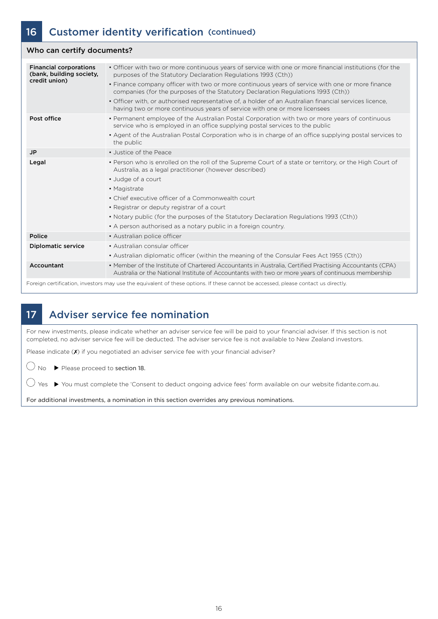### Who can certify documents?

| <b>Financial corporations</b><br>(bank, building society,<br>credit union) | · Officer with two or more continuous years of service with one or more financial institutions (for the<br>purposes of the Statutory Declaration Regulations 1993 (Cth))<br>• Finance company officer with two or more continuous years of service with one or more finance<br>companies (for the purposes of the Statutory Declaration Regulations 1993 (Cth))<br>• Officer with, or authorised representative of, a holder of an Australian financial services licence,<br>having two or more continuous years of service with one or more licensees |
|----------------------------------------------------------------------------|--------------------------------------------------------------------------------------------------------------------------------------------------------------------------------------------------------------------------------------------------------------------------------------------------------------------------------------------------------------------------------------------------------------------------------------------------------------------------------------------------------------------------------------------------------|
| Post office                                                                | • Permanent employee of the Australian Postal Corporation with two or more years of continuous<br>service who is employed in an office supplying postal services to the public<br>• Agent of the Australian Postal Corporation who is in charge of an office supplying postal services to<br>the public                                                                                                                                                                                                                                                |
| JP                                                                         | • Justice of the Peace                                                                                                                                                                                                                                                                                                                                                                                                                                                                                                                                 |
| Legal                                                                      | • Person who is enrolled on the roll of the Supreme Court of a state or territory, or the High Court of<br>Australia, as a legal practitioner (however described)<br>• Judge of a court<br>• Magistrate<br>• Chief executive officer of a Commonwealth court<br>• Registrar or deputy registrar of a court<br>• Notary public (for the purposes of the Statutory Declaration Regulations 1993 (Cth))<br>• A person authorised as a notary public in a foreign country.                                                                                 |
| Police                                                                     | • Australian police officer                                                                                                                                                                                                                                                                                                                                                                                                                                                                                                                            |
| <b>Diplomatic service</b>                                                  | • Australian consular officer<br>• Australian diplomatic officer (within the meaning of the Consular Fees Act 1955 (Cth))                                                                                                                                                                                                                                                                                                                                                                                                                              |
| Accountant                                                                 | • Member of the Institute of Chartered Accountants in Australia, Certified Practising Accountants (CPA)<br>Australia or the National Institute of Accountants with two or more years of continuous membership                                                                                                                                                                                                                                                                                                                                          |
|                                                                            |                                                                                                                                                                                                                                                                                                                                                                                                                                                                                                                                                        |

Foreign certification, investors may use the equivalent of these options. If these cannot be accessed, please contact us directly.

### 17 Adviser service fee nomination

For new investments, please indicate whether an adviser service fee will be paid to your financial adviser. If this section is not completed, no adviser service fee will be deducted. The adviser service fee is not available to New Zealand investors.

Please indicate (x) if you negotiated an adviser service fee with your financial adviser?

 $\bigcirc$  No  $\triangleright$  Please proceed to section 18.

 $\bigcirc$  Yes  $\blacktriangleright$  You must complete the 'Consent to deduct ongoing advice fees' form available on our website fidante.com.au.

For additional investments, a nomination in this section overrides any previous nominations.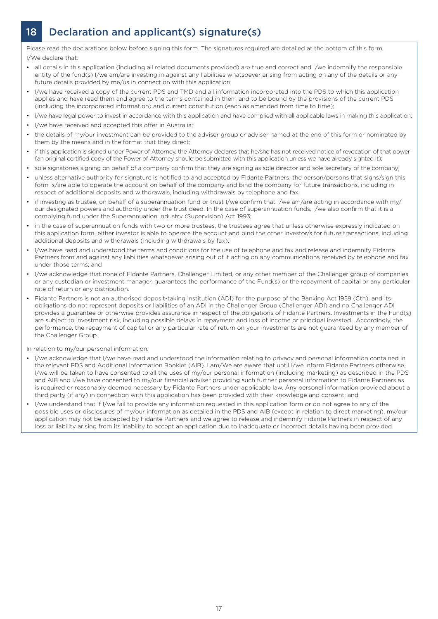# 18 Declaration and applicant(s) signature(s)

Please read the declarations below before signing this form. The signatures required are detailed at the bottom of this form. I/We declare that:

- all details in this application (including all related documents provided) are true and correct and I/we indemnify the responsible entity of the fund(s) I/we am/are investing in against any liabilities whatsoever arising from acting on any of the details or any future details provided by me/us in connection with this application;
- I/we have received a copy of the current PDS and TMD and all information incorporated into the PDS to which this application applies and have read them and agree to the terms contained in them and to be bound by the provisions of the current PDS (including the incorporated information) and current constitution (each as amended from time to time);
- I/we have legal power to invest in accordance with this application and have complied with all applicable laws in making this application;
- I/we have received and accepted this offer in Australia;
- the details of my/our investment can be provided to the adviser group or adviser named at the end of this form or nominated by them by the means and in the format that they direct;
- if this application is signed under Power of Attorney, the Attorney declares that he/she has not received notice of revocation of that power (an original certified copy of the Power of Attorney should be submitted with this application unless we have already sighted it);
- sole signatories signing on behalf of a company confirm that they are signing as sole director and sole secretary of the company;
- unless alternative authority for signature is notified to and accepted by Fidante Partners, the person/persons that signs/sign this form is/are able to operate the account on behalf of the company and bind the company for future transactions, including in respect of additional deposits and withdrawals, including withdrawals by telephone and fax;
- if investing as trustee, on behalf of a superannuation fund or trust I/we confirm that I/we am/are acting in accordance with my/ our designated powers and authority under the trust deed. In the case of superannuation funds, I/we also confirm that it is a complying fund under the Superannuation Industry (Supervision) Act 1993;
- in the case of superannuation funds with two or more trustees, the trustees agree that unless otherwise expressly indicated on this application form, either investor is able to operate the account and bind the other investor/s for future transactions, including additional deposits and withdrawals (including withdrawals by fax);
- I/we have read and understood the terms and conditions for the use of telephone and fax and release and indemnify Fidante Partners from and against any liabilities whatsoever arising out of it acting on any communications received by telephone and fax under those terms; and
- I/we acknowledge that none of Fidante Partners, Challenger Limited, or any other member of the Challenger group of companies or any custodian or investment manager, guarantees the performance of the Fund(s) or the repayment of capital or any particular rate of return or any distribution.
- Fidante Partners is not an authorised deposit-taking institution (ADI) for the purpose of the Banking Act 1959 (Cth), and its obligations do not represent deposits or liabilities of an ADI in the Challenger Group (Challenger ADI) and no Challenger ADI provides a guarantee or otherwise provides assurance in respect of the obligations of Fidante Partners. Investments in the Fund(s) are subject to investment risk, including possible delays in repayment and loss of income or principal invested. Accordingly, the performance, the repayment of capital or any particular rate of return on your investments are not guaranteed by any member of the Challenger Group.

In relation to my/our personal information:

- I/we acknowledge that I/we have read and understood the information relating to privacy and personal information contained in the relevant PDS and Additional Information Booklet (AIB). I am/We are aware that until I/we inform Fidante Partners otherwise, I/we will be taken to have consented to all the uses of my/our personal information (including marketing) as described in the PDS and AIB and I/we have consented to my/our financial adviser providing such further personal information to Fidante Partners as is required or reasonably deemed necessary by Fidante Partners under applicable law. Any personal information provided about a third party (if any) in connection with this application has been provided with their knowledge and consent; and
- I/we understand that if I/we fail to provide any information requested in this application form or do not agree to any of the possible uses or disclosures of my/our information as detailed in the PDS and AIB (except in relation to direct marketing), my/our application may not be accepted by Fidante Partners and we agree to release and indemnify Fidante Partners in respect of any loss or liability arising from its inability to accept an application due to inadequate or incorrect details having been provided.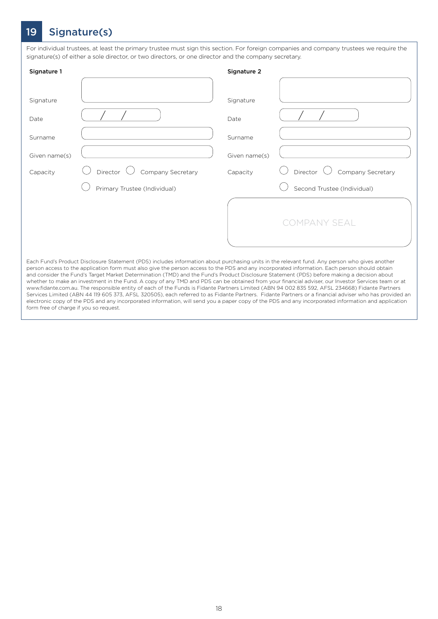### 19 Signature(s)

For individual trustees, at least the primary trustee must sign this section. For foreign companies and company trustees we require the signature(s) of either a sole director, or two directors, or one director and the company secretary.

| Signature 1   |                                                                                                                                                                                                                                                                                                                                                                                                                                                                                                                                 | Signature 2   |                                      |
|---------------|---------------------------------------------------------------------------------------------------------------------------------------------------------------------------------------------------------------------------------------------------------------------------------------------------------------------------------------------------------------------------------------------------------------------------------------------------------------------------------------------------------------------------------|---------------|--------------------------------------|
|               |                                                                                                                                                                                                                                                                                                                                                                                                                                                                                                                                 |               |                                      |
| Signature     |                                                                                                                                                                                                                                                                                                                                                                                                                                                                                                                                 | Signature     |                                      |
| Date          |                                                                                                                                                                                                                                                                                                                                                                                                                                                                                                                                 | Date          |                                      |
| Surname       |                                                                                                                                                                                                                                                                                                                                                                                                                                                                                                                                 | Surname       |                                      |
| Given name(s) |                                                                                                                                                                                                                                                                                                                                                                                                                                                                                                                                 | Given name(s) |                                      |
| Capacity      | Director $\bigcup$ Company Secretary                                                                                                                                                                                                                                                                                                                                                                                                                                                                                            | Capacity      | Director $\bigcup$ Company Secretary |
|               | Primary Trustee (Individual)                                                                                                                                                                                                                                                                                                                                                                                                                                                                                                    |               | Second Trustee (Individual)          |
|               |                                                                                                                                                                                                                                                                                                                                                                                                                                                                                                                                 |               |                                      |
|               |                                                                                                                                                                                                                                                                                                                                                                                                                                                                                                                                 |               | <b>COMPANY SEAL</b>                  |
|               |                                                                                                                                                                                                                                                                                                                                                                                                                                                                                                                                 |               |                                      |
|               | Each Fund's Product Disclosure Statement (PDS) includes information about purchasing units in the relevant fund. Any person who gives another<br>person access to the application form must also give the person access to the PDS and any incorporated information. Each person should obtain<br>The Property of the Policie Constitution Defends to Link of the Constitution Decisions Criterial (DDC) before a situation of the constitution of the constitution of the constitution of the constitution of the constitution |               |                                      |

and consider the Fund's Target Market Determination (TMD) and the Fund's Product Disclosure Statement (PDS) before making a decision about whether to make an investment in the Fund. A copy of any TMD and PDS can be obtained from your financial adviser, our Investor Services team or at www.fidante.com.au. The responsible entity of each of the Funds is Fidante Partners Limited (ABN 94 002 835 592, AFSL 234668) Fidante Partners Services Limited (ABN 44 119 605 373, AFSL 320505), each referred to as Fidante Partners. Fidante Partners or a financial adviser who has provided an electronic copy of the PDS and any incorporated information, will send you a paper copy of the PDS and any incorporated information and application form free of charge if you so request.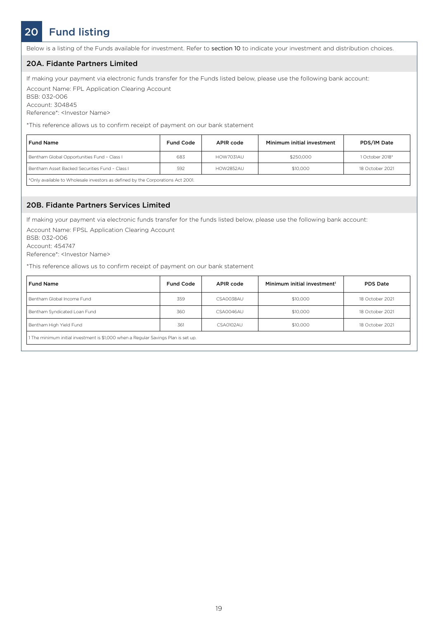# 20 Fund listing

Below is a listing of the Funds available for investment. Refer to section 10 to indicate your investment and distribution choices.

#### 20A. Fidante Partners Limited

If making your payment via electronic funds transfer for the Funds listed below, please use the following bank account:

Account Name: FPL Application Clearing Account BSB: 032-006 Account: 304845 Reference\*: <Investor Name>

\*This reference allows us to confirm receipt of payment on our bank statement

| <b>Fund Name</b>                                                                | <b>Fund Code</b> | APIR code | Minimum initial investment | PDS/IM Date     |
|---------------------------------------------------------------------------------|------------------|-----------|----------------------------|-----------------|
| Bentham Global Opportunities Fund - Class I                                     | 683              | HOW7031AU | \$250,000                  | 1 October 2018* |
| Bentham Asset Backed Securities Fund - Class I                                  | 592              | HOW2852AU | \$10,000                   | 18 October 2021 |
| *Only available to Wholesale investors as defined by the Corporations Act 2001. |                  |           |                            |                 |

20B. Fidante Partners Services Limited

If making your payment via electronic funds transfer for the funds listed below, please use the following bank account:

Account Name: FPSL Application Clearing Account

BSB: 032-006 Account: 454747

Reference\*: <Investor Name>

\*This reference allows us to confirm receipt of payment on our bank statement

| <b>Fund Name</b>                                                                   | <b>Fund Code</b> | APIR code | Minimum initial investment <sup>1</sup> | <b>PDS Date</b> |
|------------------------------------------------------------------------------------|------------------|-----------|-----------------------------------------|-----------------|
| Bentham Global Income Fund                                                         | 359              | CSA0038AU | \$10,000                                | 18 October 2021 |
| Bentham Syndicated Loan Fund                                                       | 360              | CSA0046AU | \$10,000                                | 18 October 2021 |
| Bentham High Yield Fund                                                            | 361              | CSA0102AU | \$10,000                                | 18 October 2021 |
| 1 The minimum initial investment is \$1,000 when a Regular Savings Plan is set up. |                  |           |                                         |                 |